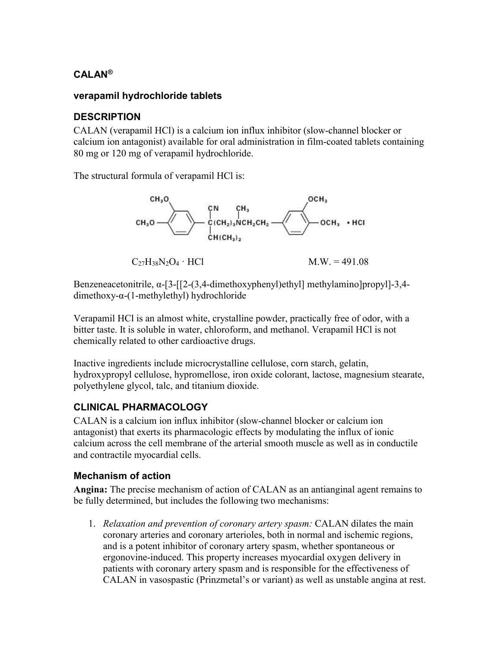## **CALAN®**

#### **verapamil hydrochloride tablets**

#### **DESCRIPTION**

CALAN (verapamil HCl) is a calcium ion influx inhibitor (slow-channel blocker or calcium ion antagonist) available for oral administration in film-coated tablets containing 80 mg or 120 mg of verapamil hydrochloride.

The structural formula of verapamil HCl is:



Benzeneacetonitrile, α-[3-[[2-(3,4-dimethoxyphenyl)ethyl] methylamino]propyl]-3,4 dimethoxy-α-(1-methylethyl) hydrochloride

Verapamil HCl is an almost white, crystalline powder, practically free of odor, with a bitter taste. It is soluble in water, chloroform, and methanol. Verapamil HCl is not chemically related to other cardioactive drugs.

Inactive ingredients include microcrystalline cellulose, corn starch, gelatin, hydroxypropyl cellulose, hypromellose, iron oxide colorant, lactose, magnesium stearate, polyethylene glycol, talc, and titanium dioxide.

#### **CLINICAL PHARMACOLOGY**

CALAN is a calcium ion influx inhibitor (slow-channel blocker or calcium ion antagonist) that exerts its pharmacologic effects by modulating the influx of ionic calcium across the cell membrane of the arterial smooth muscle as well as in conductile and contractile myocardial cells.

#### **Mechanism of action**

**Angina:** The precise mechanism of action of CALAN as an antianginal agent remains to be fully determined, but includes the following two mechanisms:

1. *Relaxation and prevention of coronary artery spasm:* CALAN dilates the main coronary arteries and coronary arterioles, both in normal and ischemic regions, and is a potent inhibitor of coronary artery spasm, whether spontaneous or ergonovine-induced. This property increases myocardial oxygen delivery in patients with coronary artery spasm and is responsible for the effectiveness of CALAN in vasospastic (Prinzmetal's or variant) as well as unstable angina at rest.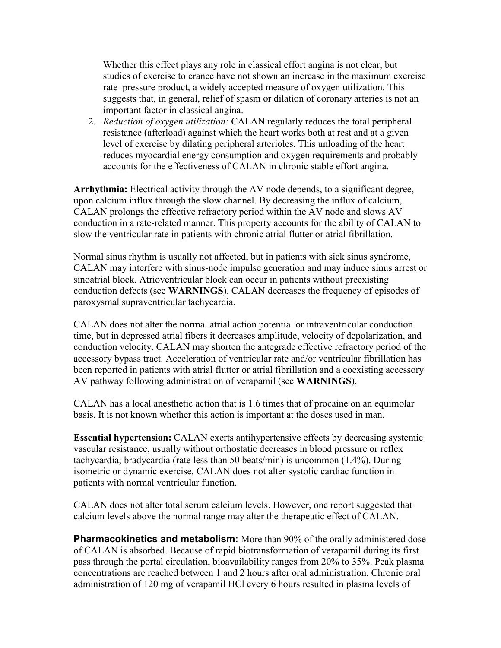Whether this effect plays any role in classical effort angina is not clear, but studies of exercise tolerance have not shown an increase in the maximum exercise rate–pressure product, a widely accepted measure of oxygen utilization. This suggests that, in general, relief of spasm or dilation of coronary arteries is not an important factor in classical angina.

2. *Reduction of oxygen utilization:* CALAN regularly reduces the total peripheral resistance (afterload) against which the heart works both at rest and at a given level of exercise by dilating peripheral arterioles. This unloading of the heart reduces myocardial energy consumption and oxygen requirements and probably accounts for the effectiveness of CALAN in chronic stable effort angina.

**Arrhythmia:** Electrical activity through the AV node depends, to a significant degree, upon calcium influx through the slow channel. By decreasing the influx of calcium, CALAN prolongs the effective refractory period within the AV node and slows AV conduction in a rate-related manner. This property accounts for the ability of CALAN to slow the ventricular rate in patients with chronic atrial flutter or atrial fibrillation.

Normal sinus rhythm is usually not affected, but in patients with sick sinus syndrome, CALAN may interfere with sinus-node impulse generation and may induce sinus arrest or sinoatrial block. Atrioventricular block can occur in patients without preexisting conduction defects (see **WARNINGS**). CALAN decreases the frequency of episodes of paroxysmal supraventricular tachycardia.

CALAN does not alter the normal atrial action potential or intraventricular conduction time, but in depressed atrial fibers it decreases amplitude, velocity of depolarization, and conduction velocity. CALAN may shorten the antegrade effective refractory period of the accessory bypass tract. Acceleration of ventricular rate and/or ventricular fibrillation has been reported in patients with atrial flutter or atrial fibrillation and a coexisting accessory AV pathway following administration of verapamil (see **WARNINGS**).

CALAN has a local anesthetic action that is 1.6 times that of procaine on an equimolar basis. It is not known whether this action is important at the doses used in man.

**Essential hypertension:** CALAN exerts antihypertensive effects by decreasing systemic vascular resistance, usually without orthostatic decreases in blood pressure or reflex tachycardia; bradycardia (rate less than 50 beats/min) is uncommon (1.4%). During isometric or dynamic exercise, CALAN does not alter systolic cardiac function in patients with normal ventricular function.

CALAN does not alter total serum calcium levels. However, one report suggested that calcium levels above the normal range may alter the therapeutic effect of CALAN.

**Pharmacokinetics and metabolism:** More than 90% of the orally administered dose of CALAN is absorbed. Because of rapid biotransformation of verapamil during its first pass through the portal circulation, bioavailability ranges from 20% to 35%. Peak plasma concentrations are reached between 1 and 2 hours after oral administration. Chronic oral administration of 120 mg of verapamil HCl every 6 hours resulted in plasma levels of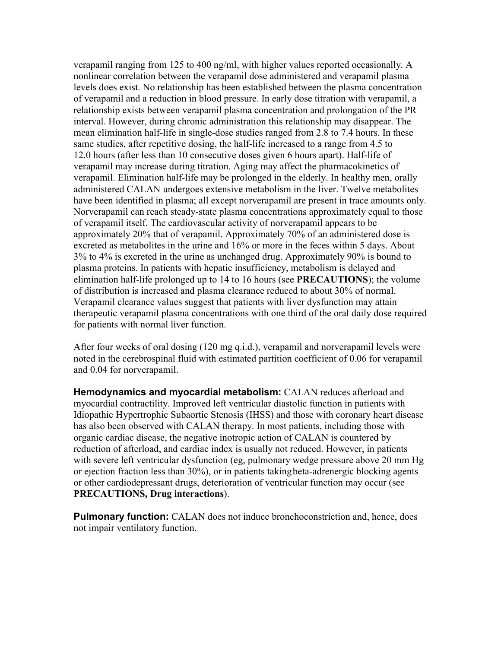verapamil ranging from 125 to 400 ng/ml, with higher values reported occasionally. A nonlinear correlation between the verapamil dose administered and verapamil plasma levels does exist. No relationship has been established between the plasma concentration of verapamil and a reduction in blood pressure. In early dose titration with verapamil, a relationship exists between verapamil plasma concentration and prolongation of the PR interval. However, during chronic administration this relationship may disappear. The mean elimination half-life in single-dose studies ranged from 2.8 to 7.4 hours. In these same studies, after repetitive dosing, the half-life increased to a range from 4.5 to 12.0 hours (after less than 10 consecutive doses given 6 hours apart). Half-life of verapamil may increase during titration. Aging may affect the pharmacokinetics of verapamil. Elimination half-life may be prolonged in the elderly. In healthy men, orally administered CALAN undergoes extensive metabolism in the liver. Twelve metabolites have been identified in plasma; all except norverapamil are present in trace amounts only. Norverapamil can reach steady-state plasma concentrations approximately equal to those of verapamil itself. The cardiovascular activity of norverapamil appears to be approximately 20% that of verapamil. Approximately 70% of an administered dose is excreted as metabolites in the urine and 16% or more in the feces within 5 days. About 3% to 4% is excreted in the urine as unchanged drug. Approximately 90% is bound to plasma proteins. In patients with hepatic insufficiency, metabolism is delayed and elimination half-life prolonged up to 14 to 16 hours (see **PRECAUTIONS**); the volume of distribution is increased and plasma clearance reduced to about 30% of normal. Verapamil clearance values suggest that patients with liver dysfunction may attain therapeutic verapamil plasma concentrations with one third of the oral daily dose required for patients with normal liver function.

After four weeks of oral dosing (120 mg q.i.d.), verapamil and norverapamil levels were noted in the cerebrospinal fluid with estimated partition coefficient of 0.06 for verapamil and 0.04 for norverapamil.

**Hemodynamics and myocardial metabolism:** CALAN reduces afterload and myocardial contractility. Improved left ventricular diastolic function in patients with Idiopathic Hypertrophic Subaortic Stenosis (IHSS) and those with coronary heart disease has also been observed with CALAN therapy. In most patients, including those with organic cardiac disease, the negative inotropic action of CALAN is countered by reduction of afterload, and cardiac index is usually not reduced. However, in patients with severe left ventricular dysfunction (eg, pulmonary wedge pressure above 20 mm Hg or ejection fraction less than 30%), or in patients takingbeta-adrenergic blocking agents or other cardiodepressant drugs, deterioration of ventricular function may occur (see **PRECAUTIONS, Drug interactions**).

**Pulmonary function:** CALAN does not induce bronchoconstriction and, hence, does not impair ventilatory function.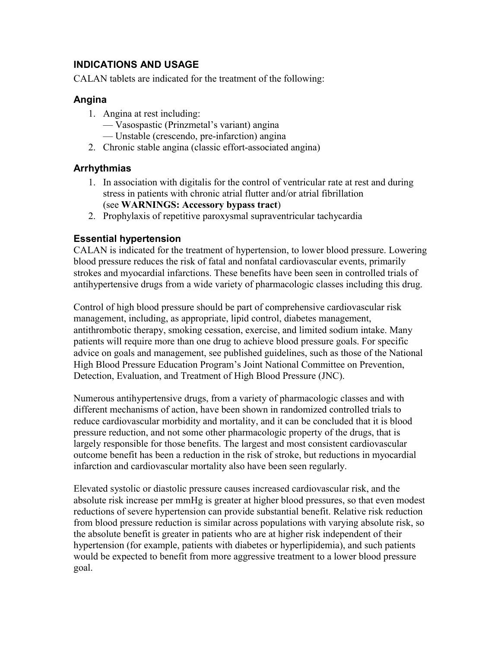## **INDICATIONS AND USAGE**

CALAN tablets are indicated for the treatment of the following:

#### **Angina**

- 1. Angina at rest including:
	- Vasospastic (Prinzmetal's variant) angina
	- Unstable (crescendo, pre-infarction) angina
- 2. Chronic stable angina (classic effort-associated angina)

#### **Arrhythmias**

- 1. In association with digitalis for the control of ventricular rate at rest and during stress in patients with chronic atrial flutter and/or atrial fibrillation (see **WARNINGS: Accessory bypass tract**)
- 2. Prophylaxis of repetitive paroxysmal supraventricular tachycardia

#### **Essential hypertension**

CALAN is indicated for the treatment of hypertension, to lower blood pressure. Lowering blood pressure reduces the risk of fatal and nonfatal cardiovascular events, primarily strokes and myocardial infarctions. These benefits have been seen in controlled trials of antihypertensive drugs from a wide variety of pharmacologic classes including this drug.

Control of high blood pressure should be part of comprehensive cardiovascular risk management, including, as appropriate, lipid control, diabetes management, antithrombotic therapy, smoking cessation, exercise, and limited sodium intake. Many patients will require more than one drug to achieve blood pressure goals. For specific advice on goals and management, see published guidelines, such as those of the National High Blood Pressure Education Program's Joint National Committee on Prevention, Detection, Evaluation, and Treatment of High Blood Pressure (JNC).

Numerous antihypertensive drugs, from a variety of pharmacologic classes and with different mechanisms of action, have been shown in randomized controlled trials to reduce cardiovascular morbidity and mortality, and it can be concluded that it is blood pressure reduction, and not some other pharmacologic property of the drugs, that is largely responsible for those benefits. The largest and most consistent cardiovascular outcome benefit has been a reduction in the risk of stroke, but reductions in myocardial infarction and cardiovascular mortality also have been seen regularly.

Elevated systolic or diastolic pressure causes increased cardiovascular risk, and the absolute risk increase per mmHg is greater at higher blood pressures, so that even modest reductions of severe hypertension can provide substantial benefit. Relative risk reduction from blood pressure reduction is similar across populations with varying absolute risk, so the absolute benefit is greater in patients who are at higher risk independent of their hypertension (for example, patients with diabetes or hyperlipidemia), and such patients would be expected to benefit from more aggressive treatment to a lower blood pressure goal.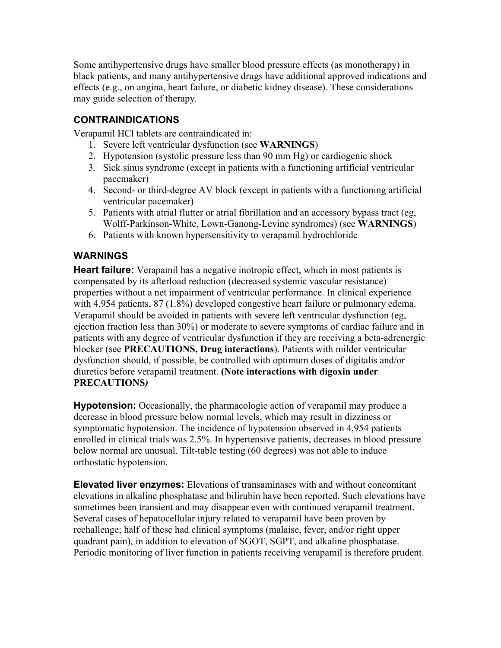Some antihypertensive drugs have smaller blood pressure effects (as monotherapy) in black patients, and many antihypertensive drugs have additional approved indications and effects (e.g., on angina, heart failure, or diabetic kidney disease). These considerations may guide selection of therapy.

## **CONTRAINDICATIONS**

Verapamil HCl tablets are contraindicated in:

- 1. Severe left ventricular dysfunction (see **WARNINGS**)
- 2. Hypotension (systolic pressure less than 90 mm Hg) or cardiogenic shock
- 3. Sick sinus syndrome (except in patients with a functioning artificial ventricular pacemaker)
- 4. Second- or third-degree AV block (except in patients with a functioning artificial ventricular pacemaker)
- 5. Patients with atrial flutter or atrial fibrillation and an accessory bypass tract (eg, Wolff-Parkinson-White, Lown-Ganong-Levine syndromes) (see **WARNINGS**)
- 6. Patients with known hypersensitivity to verapamil hydrochloride

# **WARNINGS**

**Heart failure:** Verapamil has a negative inotropic effect, which in most patients is compensated by its afterload reduction (decreased systemic vascular resistance) properties without a net impairment of ventricular performance. In clinical experience with 4,954 patients, 87 (1.8%) developed congestive heart failure or pulmonary edema. Verapamil should be avoided in patients with severe left ventricular dysfunction (eg, ejection fraction less than 30%) or moderate to severe symptoms of cardiac failure and in patients with any degree of ventricular dysfunction if they are receiving a beta-adrenergic blocker (see **PRECAUTIONS, Drug interactions**). Patients with milder ventricular dysfunction should, if possible, be controlled with optimum doses of digitalis and/or diuretics before verapamil treatment. **(Note interactions with digoxin under PRECAUTIONS***)*

**Hypotension:** Occasionally, the pharmacologic action of verapamil may produce a decrease in blood pressure below normal levels, which may result in dizziness or symptomatic hypotension. The incidence of hypotension observed in 4,954 patients enrolled in clinical trials was 2.5%. In hypertensive patients, decreases in blood pressure below normal are unusual. Tilt-table testing (60 degrees) was not able to induce orthostatic hypotension.

**Elevated liver enzymes:** Elevations of transaminases with and without concomitant elevations in alkaline phosphatase and bilirubin have been reported. Such elevations have sometimes been transient and may disappear even with continued verapamil treatment. Several cases of hepatocellular injury related to verapamil have been proven by rechallenge; half of these had clinical symptoms (malaise, fever, and/or right upper quadrant pain), in addition to elevation of SGOT, SGPT, and alkaline phosphatase. Periodic monitoring of liver function in patients receiving verapamil is therefore prudent.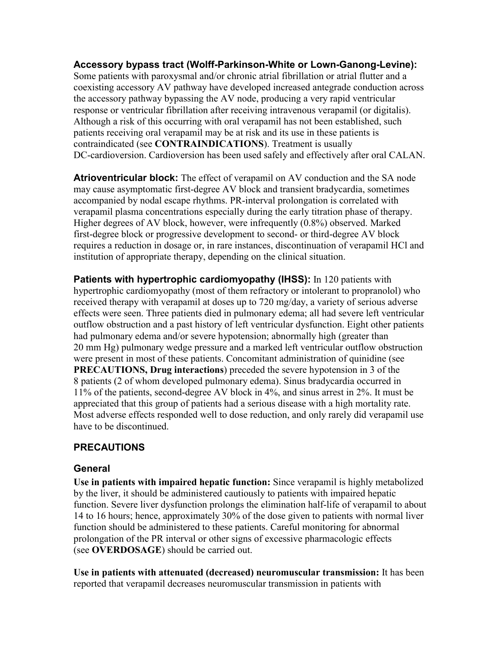**Accessory bypass tract (Wolff-Parkinson-White or Lown-Ganong-Levine):** Some patients with paroxysmal and/or chronic atrial fibrillation or atrial flutter and a coexisting accessory AV pathway have developed increased antegrade conduction across the accessory pathway bypassing the AV node, producing a very rapid ventricular response or ventricular fibrillation after receiving intravenous verapamil (or digitalis). Although a risk of this occurring with oral verapamil has not been established, such patients receiving oral verapamil may be at risk and its use in these patients is contraindicated (see **CONTRAINDICATIONS**). Treatment is usually DC-cardioversion. Cardioversion has been used safely and effectively after oral CALAN.

**Atrioventricular block:** The effect of verapamil on AV conduction and the SA node may cause asymptomatic first-degree AV block and transient bradycardia, sometimes accompanied by nodal escape rhythms. PR-interval prolongation is correlated with verapamil plasma concentrations especially during the early titration phase of therapy. Higher degrees of AV block, however, were infrequently (0.8%) observed. Marked first-degree block or progressive development to second- or third-degree AV block requires a reduction in dosage or, in rare instances, discontinuation of verapamil HCl and institution of appropriate therapy, depending on the clinical situation.

**Patients with hypertrophic cardiomyopathy (IHSS):** In 120 patients with hypertrophic cardiomyopathy (most of them refractory or intolerant to propranolol) who received therapy with verapamil at doses up to 720 mg/day, a variety of serious adverse effects were seen. Three patients died in pulmonary edema; all had severe left ventricular outflow obstruction and a past history of left ventricular dysfunction. Eight other patients had pulmonary edema and/or severe hypotension; abnormally high (greater than 20 mm Hg) pulmonary wedge pressure and a marked left ventricular outflow obstruction were present in most of these patients. Concomitant administration of quinidine (see **PRECAUTIONS, Drug interactions**) preceded the severe hypotension in 3 of the 8 patients (2 of whom developed pulmonary edema). Sinus bradycardia occurred in 11% of the patients, second-degree AV block in 4%, and sinus arrest in 2%. It must be appreciated that this group of patients had a serious disease with a high mortality rate. Most adverse effects responded well to dose reduction, and only rarely did verapamil use have to be discontinued.

## **PRECAUTIONS**

## **General**

**Use in patients with impaired hepatic function:** Since verapamil is highly metabolized by the liver, it should be administered cautiously to patients with impaired hepatic function. Severe liver dysfunction prolongs the elimination half-life of verapamil to about 14 to 16 hours; hence, approximately 30% of the dose given to patients with normal liver function should be administered to these patients. Careful monitoring for abnormal prolongation of the PR interval or other signs of excessive pharmacologic effects (see **OVERDOSAGE**) should be carried out.

**Use in patients with attenuated (decreased) neuromuscular transmission:** It has been reported that verapamil decreases neuromuscular transmission in patients with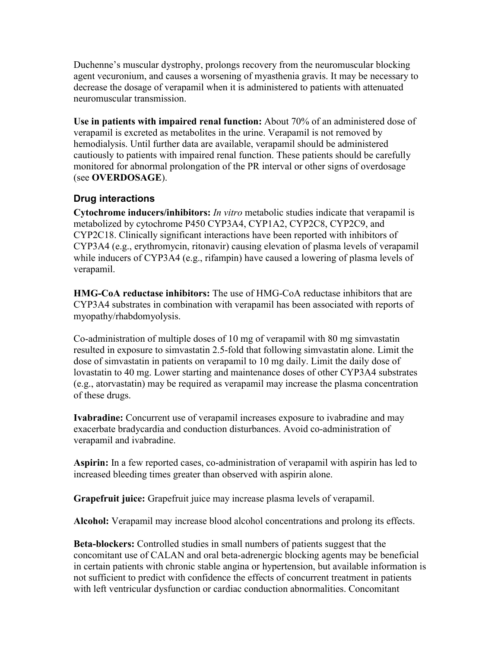Duchenne's muscular dystrophy, prolongs recovery from the neuromuscular blocking agent vecuronium, and causes a worsening of myasthenia gravis. It may be necessary to decrease the dosage of verapamil when it is administered to patients with attenuated neuromuscular transmission.

**Use in patients with impaired renal function:** About 70% of an administered dose of verapamil is excreted as metabolites in the urine. Verapamil is not removed by hemodialysis. Until further data are available, verapamil should be administered cautiously to patients with impaired renal function. These patients should be carefully monitored for abnormal prolongation of the PR interval or other signs of overdosage (see **OVERDOSAGE**).

## **Drug interactions**

**Cytochrome inducers/inhibitors:** *In vitro* metabolic studies indicate that verapamil is metabolized by cytochrome P450 CYP3A4, CYP1A2, CYP2C8, CYP2C9, and CYP2C18. Clinically significant interactions have been reported with inhibitors of CYP3A4 (e.g., erythromycin, ritonavir) causing elevation of plasma levels of verapamil while inducers of CYP3A4 (e.g., rifampin) have caused a lowering of plasma levels of verapamil.

**HMG-CoA reductase inhibitors:** The use of HMG-CoA reductase inhibitors that are CYP3A4 substrates in combination with verapamil has been associated with reports of myopathy/rhabdomyolysis.

Co-administration of multiple doses of 10 mg of verapamil with 80 mg simvastatin resulted in exposure to simvastatin 2.5-fold that following simvastatin alone. Limit the dose of simvastatin in patients on verapamil to 10 mg daily. Limit the daily dose of lovastatin to 40 mg. Lower starting and maintenance doses of other CYP3A4 substrates (e.g., atorvastatin) may be required as verapamil may increase the plasma concentration of these drugs.

**Ivabradine:** Concurrent use of verapamil increases exposure to ivabradine and may exacerbate bradycardia and conduction disturbances. Avoid co-administration of verapamil and ivabradine.

**Aspirin:** In a few reported cases, co-administration of verapamil with aspirin has led to increased bleeding times greater than observed with aspirin alone.

**Grapefruit juice:** Grapefruit juice may increase plasma levels of verapamil.

**Alcohol:** Verapamil may increase blood alcohol concentrations and prolong its effects.

**Beta-blockers:** Controlled studies in small numbers of patients suggest that the concomitant use of CALAN and oral beta-adrenergic blocking agents may be beneficial in certain patients with chronic stable angina or hypertension, but available information is not sufficient to predict with confidence the effects of concurrent treatment in patients with left ventricular dysfunction or cardiac conduction abnormalities. Concomitant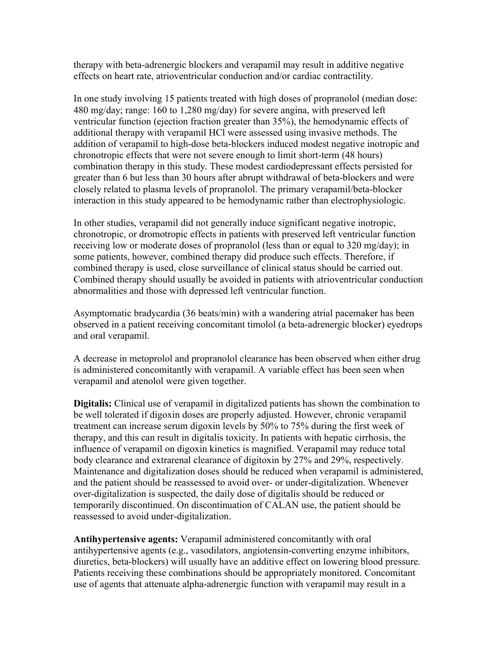therapy with beta-adrenergic blockers and verapamil may result in additive negative effects on heart rate, atrioventricular conduction and/or cardiac contractility.

In one study involving 15 patients treated with high doses of propranolol (median dose: 480 mg/day; range: 160 to 1,280 mg/day) for severe angina, with preserved left ventricular function (ejection fraction greater than 35%), the hemodynamic effects of additional therapy with verapamil HCl were assessed using invasive methods. The addition of verapamil to high-dose beta-blockers induced modest negative inotropic and chronotropic effects that were not severe enough to limit short-term (48 hours) combination therapy in this study. These modest cardiodepressant effects persisted for greater than 6 but less than 30 hours after abrupt withdrawal of beta-blockers and were closely related to plasma levels of propranolol. The primary verapamil/beta-blocker interaction in this study appeared to be hemodynamic rather than electrophysiologic.

In other studies, verapamil did not generally induce significant negative inotropic, chronotropic, or dromotropic effects in patients with preserved left ventricular function receiving low or moderate doses of propranolol (less than or equal to 320 mg/day); in some patients, however, combined therapy did produce such effects. Therefore, if combined therapy is used, close surveillance of clinical status should be carried out. Combined therapy should usually be avoided in patients with atrioventricular conduction abnormalities and those with depressed left ventricular function.

Asymptomatic bradycardia (36 beats/min) with a wandering atrial pacemaker has been observed in a patient receiving concomitant timolol (a beta-adrenergic blocker) eyedrops and oral verapamil.

A decrease in metoprolol and propranolol clearance has been observed when either drug is administered concomitantly with verapamil. A variable effect has been seen when verapamil and atenolol were given together.

**Digitalis:** Clinical use of verapamil in digitalized patients has shown the combination to be well tolerated if digoxin doses are properly adjusted. However, chronic verapamil treatment can increase serum digoxin levels by 50% to 75% during the first week of therapy, and this can result in digitalis toxicity. In patients with hepatic cirrhosis, the influence of verapamil on digoxin kinetics is magnified. Verapamil may reduce total body clearance and extrarenal clearance of digitoxin by 27% and 29%, respectively. Maintenance and digitalization doses should be reduced when verapamil is administered, and the patient should be reassessed to avoid over- or under-digitalization. Whenever over-digitalization is suspected, the daily dose of digitalis should be reduced or temporarily discontinued. On discontinuation of CALAN use, the patient should be reassessed to avoid under-digitalization.

**Antihypertensive agents:** Verapamil administered concomitantly with oral antihypertensive agents (e.g., vasodilators, angiotensin-converting enzyme inhibitors, diuretics, beta-blockers) will usually have an additive effect on lowering blood pressure. Patients receiving these combinations should be appropriately monitored. Concomitant use of agents that attenuate alpha-adrenergic function with verapamil may result in a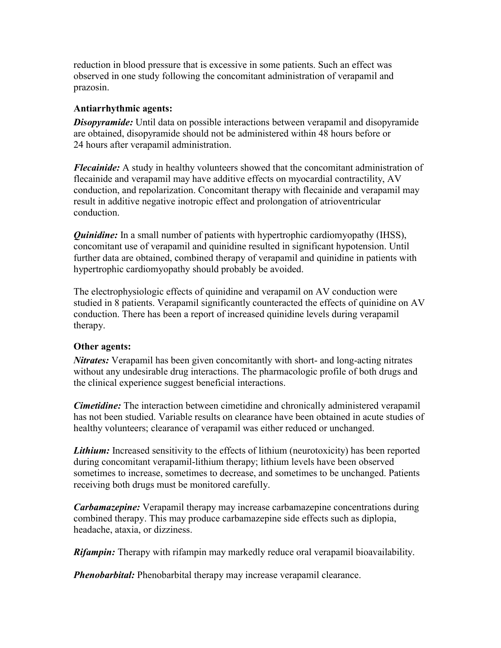reduction in blood pressure that is excessive in some patients. Such an effect was observed in one study following the concomitant administration of verapamil and prazosin.

#### **Antiarrhythmic agents:**

*Disopyramide:* Until data on possible interactions between verapamil and disopyramide are obtained, disopyramide should not be administered within 48 hours before or 24 hours after verapamil administration.

*Flecainide:* A study in healthy volunteers showed that the concomitant administration of flecainide and verapamil may have additive effects on myocardial contractility, AV conduction, and repolarization. Concomitant therapy with flecainide and verapamil may result in additive negative inotropic effect and prolongation of atrioventricular conduction.

*Quinidine:* In a small number of patients with hypertrophic cardiomyopathy (IHSS), concomitant use of verapamil and quinidine resulted in significant hypotension. Until further data are obtained, combined therapy of verapamil and quinidine in patients with hypertrophic cardiomyopathy should probably be avoided.

The electrophysiologic effects of quinidine and verapamil on AV conduction were studied in 8 patients. Verapamil significantly counteracted the effects of quinidine on AV conduction. There has been a report of increased quinidine levels during verapamil therapy.

#### **Other agents:**

*Nitrates:* Verapamil has been given concomitantly with short- and long-acting nitrates without any undesirable drug interactions. The pharmacologic profile of both drugs and the clinical experience suggest beneficial interactions.

*Cimetidine:* The interaction between cimetidine and chronically administered verapamil has not been studied. Variable results on clearance have been obtained in acute studies of healthy volunteers; clearance of verapamil was either reduced or unchanged.

*Lithium:* Increased sensitivity to the effects of lithium (neurotoxicity) has been reported during concomitant verapamil-lithium therapy; lithium levels have been observed sometimes to increase, sometimes to decrease, and sometimes to be unchanged. Patients receiving both drugs must be monitored carefully.

*Carbamazepine:* Verapamil therapy may increase carbamazepine concentrations during combined therapy. This may produce carbamazepine side effects such as diplopia, headache, ataxia, or dizziness.

*Rifampin:* Therapy with rifampin may markedly reduce oral verapamil bioavailability.

*Phenobarbital:* Phenobarbital therapy may increase verapamil clearance.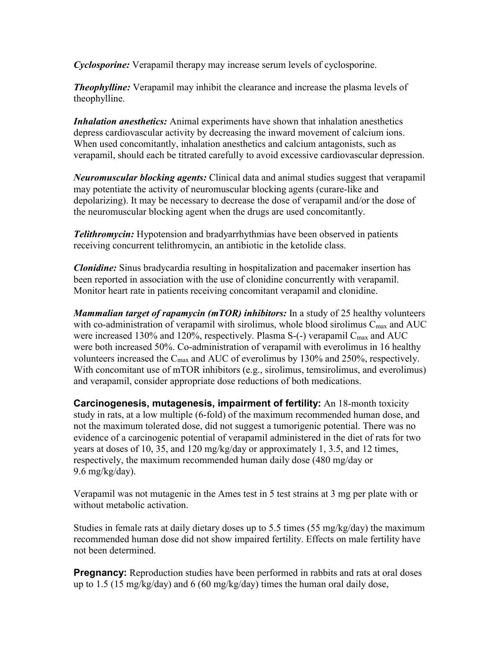*Cyclosporine:* Verapamil therapy may increase serum levels of cyclosporine.

*Theophylline:* Verapamil may inhibit the clearance and increase the plasma levels of theophylline.

*Inhalation anesthetics:* Animal experiments have shown that inhalation anesthetics depress cardiovascular activity by decreasing the inward movement of calcium ions. When used concomitantly, inhalation anesthetics and calcium antagonists, such as verapamil, should each be titrated carefully to avoid excessive cardiovascular depression.

*Neuromuscular blocking agents:* Clinical data and animal studies suggest that verapamil may potentiate the activity of neuromuscular blocking agents (curare-like and depolarizing). It may be necessary to decrease the dose of verapamil and/or the dose of the neuromuscular blocking agent when the drugs are used concomitantly.

*Telithromycin:* Hypotension and bradyarrhythmias have been observed in patients receiving concurrent telithromycin, an antibiotic in the ketolide class.

*Clonidine:* Sinus bradycardia resulting in hospitalization and pacemaker insertion has been reported in association with the use of clonidine concurrently with verapamil. Monitor heart rate in patients receiving concomitant verapamil and clonidine.

*Mammalian target of rapamycin (mTOR) inhibitors:* In a study of 25 healthy volunteers with co-administration of verapamil with sirolimus, whole blood sirolimus  $C_{\text{max}}$  and AUC were increased 130% and 120%, respectively. Plasma S- $\left(-\right)$  verapamil  $C_{\text{max}}$  and AUC were both increased 50%. Co-administration of verapamil with everolimus in 16 healthy volunteers increased the Cmax and AUC of everolimus by 130% and 250%, respectively. With concomitant use of mTOR inhibitors (e.g., sirolimus, temsirolimus, and everolimus) and verapamil, consider appropriate dose reductions of both medications.

**Carcinogenesis, mutagenesis, impairment of fertility:** An 18-month toxicity study in rats, at a low multiple (6-fold) of the maximum recommended human dose, and not the maximum tolerated dose, did not suggest a tumorigenic potential. There was no evidence of a carcinogenic potential of verapamil administered in the diet of rats for two years at doses of 10, 35, and 120 mg/kg/day or approximately 1, 3.5, and 12 times, respectively, the maximum recommended human daily dose (480 mg/day or  $9.6 \text{ mg/kg/day}$ ).

Verapamil was not mutagenic in the Ames test in 5 test strains at 3 mg per plate with or without metabolic activation.

Studies in female rats at daily dietary doses up to 5.5 times (55 mg/kg/day) the maximum recommended human dose did not show impaired fertility. Effects on male fertility have not been determined.

**Pregnancy:** Reproduction studies have been performed in rabbits and rats at oral doses up to 1.5 (15 mg/kg/day) and 6 (60 mg/kg/day) times the human oral daily dose,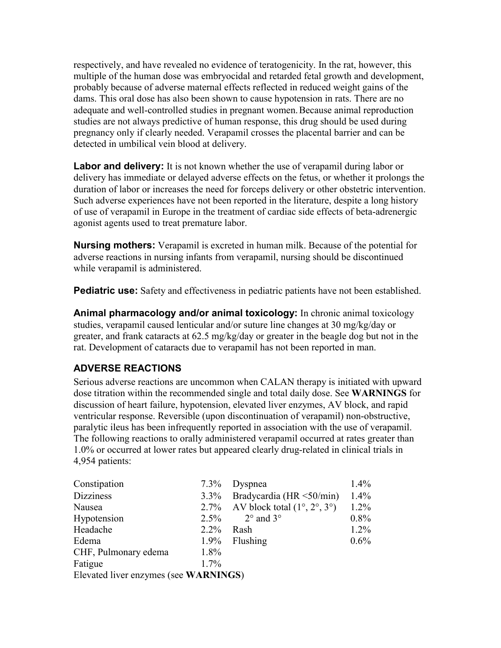respectively, and have revealed no evidence of teratogenicity. In the rat, however, this multiple of the human dose was embryocidal and retarded fetal growth and development, probably because of adverse maternal effects reflected in reduced weight gains of the dams. This oral dose has also been shown to cause hypotension in rats. There are no adequate and well-controlled studies in pregnant women. Because animal reproduction studies are not always predictive of human response, this drug should be used during pregnancy only if clearly needed. Verapamil crosses the placental barrier and can be detected in umbilical vein blood at delivery.

**Labor and delivery:** It is not known whether the use of verapamil during labor or delivery has immediate or delayed adverse effects on the fetus, or whether it prolongs the duration of labor or increases the need for forceps delivery or other obstetric intervention. Such adverse experiences have not been reported in the literature, despite a long history of use of verapamil in Europe in the treatment of cardiac side effects of beta-adrenergic agonist agents used to treat premature labor.

**Nursing mothers:** Verapamil is excreted in human milk. Because of the potential for adverse reactions in nursing infants from verapamil, nursing should be discontinued while verapamil is administered.

**Pediatric use:** Safety and effectiveness in pediatric patients have not been established.

**Animal pharmacology and/or animal toxicology:** In chronic animal toxicology studies, verapamil caused lenticular and/or suture line changes at 30 mg/kg/day or greater, and frank cataracts at 62.5 mg/kg/day or greater in the beagle dog but not in the rat. Development of cataracts due to verapamil has not been reported in man.

## **ADVERSE REACTIONS**

Serious adverse reactions are uncommon when CALAN therapy is initiated with upward dose titration within the recommended single and total daily dose. See **WARNINGS** for discussion of heart failure, hypotension, elevated liver enzymes, AV block, and rapid ventricular response. Reversible (upon discontinuation of verapamil) non-obstructive, paralytic ileus has been infrequently reported in association with the use of verapamil. The following reactions to orally administered verapamil occurred at rates greater than 1.0% or occurred at lower rates but appeared clearly drug-related in clinical trials in 4,954 patients:

| Constipation                          | $7.3\%$ | Dyspnea                                                 | $1.4\%$ |
|---------------------------------------|---------|---------------------------------------------------------|---------|
| <b>Dizziness</b>                      |         | 3.3% Bradycardia (HR $\leq 50/min$ )                    | $1.4\%$ |
| Nausea                                |         | 2.7% AV block total $(1^{\circ}, 2^{\circ}, 3^{\circ})$ | $1.2\%$ |
| Hypotension                           | $2.5\%$ | $2^{\circ}$ and $3^{\circ}$                             | $0.8\%$ |
| Headache                              | $2.2\%$ | Rash                                                    | $1.2\%$ |
| Edema                                 | $1.9\%$ | Flushing                                                | $0.6\%$ |
| CHF, Pulmonary edema                  | 1.8%    |                                                         |         |
| Fatigue                               | $1.7\%$ |                                                         |         |
| Elevated liver enzymes (see WARNINGS) |         |                                                         |         |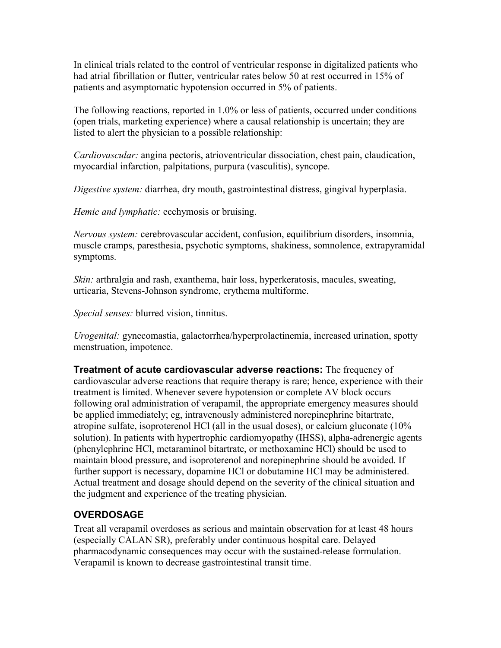In clinical trials related to the control of ventricular response in digitalized patients who had atrial fibrillation or flutter, ventricular rates below 50 at rest occurred in 15% of patients and asymptomatic hypotension occurred in 5% of patients.

The following reactions, reported in 1.0% or less of patients, occurred under conditions (open trials, marketing experience) where a causal relationship is uncertain; they are listed to alert the physician to a possible relationship:

*Cardiovascular:* angina pectoris, atrioventricular dissociation, chest pain, claudication, myocardial infarction, palpitations, purpura (vasculitis), syncope.

*Digestive system:* diarrhea, dry mouth, gastrointestinal distress, gingival hyperplasia.

*Hemic and lymphatic:* ecchymosis or bruising.

*Nervous system:* cerebrovascular accident, confusion, equilibrium disorders, insomnia, muscle cramps, paresthesia, psychotic symptoms, shakiness, somnolence, extrapyramidal symptoms.

*Skin:* arthralgia and rash, exanthema, hair loss, hyperkeratosis, macules, sweating, urticaria, Stevens-Johnson syndrome, erythema multiforme.

*Special senses:* blurred vision, tinnitus.

*Urogenital:* gynecomastia, galactorrhea/hyperprolactinemia, increased urination, spotty menstruation, impotence.

**Treatment of acute cardiovascular adverse reactions:** The frequency of cardiovascular adverse reactions that require therapy is rare; hence, experience with their treatment is limited. Whenever severe hypotension or complete AV block occurs following oral administration of verapamil, the appropriate emergency measures should be applied immediately; eg, intravenously administered norepinephrine bitartrate, atropine sulfate, isoproterenol HCl (all in the usual doses), or calcium gluconate (10% solution). In patients with hypertrophic cardiomyopathy (IHSS), alpha-adrenergic agents (phenylephrine HCl, metaraminol bitartrate, or methoxamine HCl) should be used to maintain blood pressure, and isoproterenol and norepinephrine should be avoided. If further support is necessary, dopamine HCl or dobutamine HCl may be administered. Actual treatment and dosage should depend on the severity of the clinical situation and the judgment and experience of the treating physician.

# **OVERDOSAGE**

Treat all verapamil overdoses as serious and maintain observation for at least 48 hours (especially CALAN SR), preferably under continuous hospital care. Delayed pharmacodynamic consequences may occur with the sustained-release formulation. Verapamil is known to decrease gastrointestinal transit time.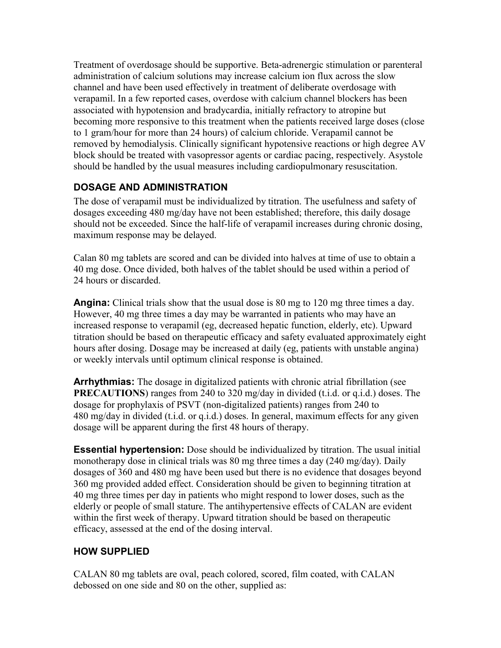Treatment of overdosage should be supportive. Beta-adrenergic stimulation or parenteral administration of calcium solutions may increase calcium ion flux across the slow channel and have been used effectively in treatment of deliberate overdosage with verapamil. In a few reported cases, overdose with calcium channel blockers has been associated with hypotension and bradycardia, initially refractory to atropine but becoming more responsive to this treatment when the patients received large doses (close to 1 gram/hour for more than 24 hours) of calcium chloride. Verapamil cannot be removed by hemodialysis. Clinically significant hypotensive reactions or high degree AV block should be treated with vasopressor agents or cardiac pacing, respectively. Asystole should be handled by the usual measures including cardiopulmonary resuscitation.

# **DOSAGE AND ADMINISTRATION**

The dose of verapamil must be individualized by titration. The usefulness and safety of dosages exceeding 480 mg/day have not been established; therefore, this daily dosage should not be exceeded. Since the half-life of verapamil increases during chronic dosing, maximum response may be delayed.

Calan 80 mg tablets are scored and can be divided into halves at time of use to obtain a 40 mg dose. Once divided, both halves of the tablet should be used within a period of 24 hours or discarded.

**Angina:** Clinical trials show that the usual dose is 80 mg to 120 mg three times a day. However, 40 mg three times a day may be warranted in patients who may have an increased response to verapamil (eg, decreased hepatic function, elderly, etc). Upward titration should be based on therapeutic efficacy and safety evaluated approximately eight hours after dosing. Dosage may be increased at daily (eg, patients with unstable angina) or weekly intervals until optimum clinical response is obtained.

**Arrhythmias:** The dosage in digitalized patients with chronic atrial fibrillation (see **PRECAUTIONS**) ranges from 240 to 320 mg/day in divided (t.i.d. or q.i.d.) doses. The dosage for prophylaxis of PSVT (non-digitalized patients) ranges from 240 to 480 mg/day in divided (t.i.d. or q.i.d.) doses. In general, maximum effects for any given dosage will be apparent during the first 48 hours of therapy.

**Essential hypertension:** Dose should be individualized by titration. The usual initial monotherapy dose in clinical trials was 80 mg three times a day (240 mg/day). Daily dosages of 360 and 480 mg have been used but there is no evidence that dosages beyond 360 mg provided added effect. Consideration should be given to beginning titration at 40 mg three times per day in patients who might respond to lower doses, such as the elderly or people of small stature. The antihypertensive effects of CALAN are evident within the first week of therapy. Upward titration should be based on therapeutic efficacy, assessed at the end of the dosing interval.

# **HOW SUPPLIED**

CALAN 80 mg tablets are oval, peach colored, scored, film coated, with CALAN debossed on one side and 80 on the other, supplied as: